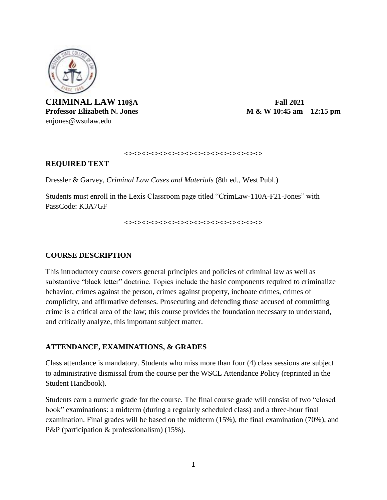

**CRIMINAL LAW 110§A Fall 2021** enjones@wsulaw.edu

**Professor Elizabeth N. Jones** M & W 10:45 **am –** 12:15 **pm** 

#### **<><><><><><><><><><><><><><><><>**

#### **REQUIRED TEXT**

Dressler & Garvey, *Criminal Law Cases and Materials* (8th ed., West Publ.)

Students must enroll in the Lexis Classroom page titled "CrimLaw-110A-F21-Jones" with PassCode: K3A7GF

**<><><><><><><><><><><><><><><><>**

#### **COURSE DESCRIPTION**

This introductory course covers general principles and policies of criminal law as well as substantive "black letter" doctrine. Topics include the basic components required to criminalize behavior, crimes against the person, crimes against property, inchoate crimes, crimes of complicity, and affirmative defenses. Prosecuting and defending those accused of committing crime is a critical area of the law; this course provides the foundation necessary to understand, and critically analyze, this important subject matter.

#### **ATTENDANCE, EXAMINATIONS, & GRADES**

Class attendance is mandatory. Students who miss more than four (4) class sessions are subject to administrative dismissal from the course per the WSCL Attendance Policy (reprinted in the Student Handbook).

Students earn a numeric grade for the course. The final course grade will consist of two "closed book" examinations: a midterm (during a regularly scheduled class) and a three-hour final examination. Final grades will be based on the midterm (15%), the final examination (70%), and P&P (participation & professionalism) (15%).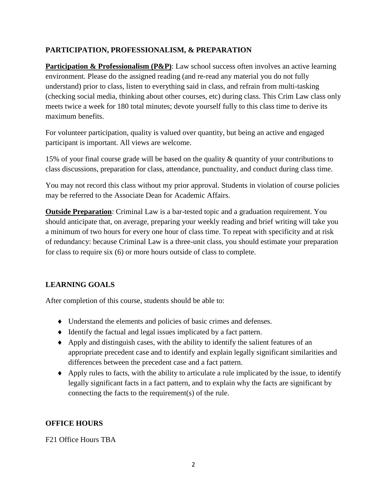### **PARTICIPATION, PROFESSIONALISM, & PREPARATION**

**Participation & Professionalism (P&P)**: Law school success often involves an active learning environment. Please do the assigned reading (and re-read any material you do not fully understand) prior to class, listen to everything said in class, and refrain from multi-tasking (checking social media, thinking about other courses, etc) during class. This Crim Law class only meets twice a week for 180 total minutes; devote yourself fully to this class time to derive its maximum benefits.

For volunteer participation, quality is valued over quantity, but being an active and engaged participant is important. All views are welcome.

15% of your final course grade will be based on the quality & quantity of your contributions to class discussions, preparation for class, attendance, punctuality, and conduct during class time.

You may not record this class without my prior approval. Students in violation of course policies may be referred to the Associate Dean for Academic Affairs.

**Outside Preparation**: Criminal Law is a bar-tested topic and a graduation requirement. You should anticipate that, on average, preparing your weekly reading and brief writing will take you a minimum of two hours for every one hour of class time. To repeat with specificity and at risk of redundancy: because Criminal Law is a three-unit class, you should estimate your preparation for class to require six (6) or more hours outside of class to complete.

## **LEARNING GOALS**

After completion of this course, students should be able to:

- Understand the elements and policies of basic crimes and defenses.
- Identify the factual and legal issues implicated by a fact pattern.
- Apply and distinguish cases, with the ability to identify the salient features of an appropriate precedent case and to identify and explain legally significant similarities and differences between the precedent case and a fact pattern.
- $\triangle$  Apply rules to facts, with the ability to articulate a rule implicated by the issue, to identify legally significant facts in a fact pattern, and to explain why the facts are significant by connecting the facts to the requirement(s) of the rule.

### **OFFICE HOURS**

F21 Office Hours TBA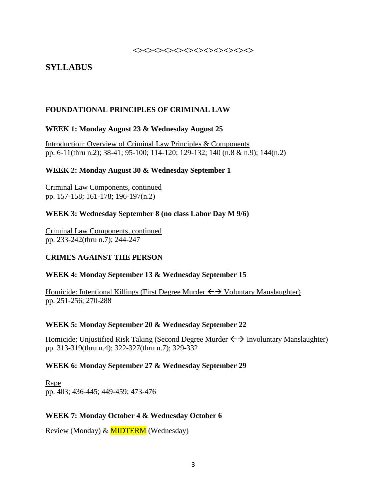**<><><><><><><><><><><><>**

# **SYLLABUS**

### **FOUNDATIONAL PRINCIPLES OF CRIMINAL LAW**

#### **WEEK 1: Monday August 23 & Wednesday August 25**

Introduction: Overview of Criminal Law Principles & Components pp. 6-11(thru n.2); 38-41; 95-100; 114-120; 129-132; 140 (n.8 & n.9); 144(n.2)

#### **WEEK 2: Monday August 30 & Wednesday September 1**

Criminal Law Components, continued pp. 157-158; 161-178; 196-197(n.2)

### **WEEK 3: Wednesday September 8 (no class Labor Day M 9/6)**

Criminal Law Components, continued pp. 233-242(thru n.7); 244-247

### **CRIMES AGAINST THE PERSON**

### **WEEK 4: Monday September 13 & Wednesday September 15**

Homicide: Intentional Killings (First Degree Murder  $\leftrightarrow$  Voluntary Manslaughter) pp. 251-256; 270-288

#### **WEEK 5: Monday September 20 & Wednesday September 22**

Homicide: Unjustified Risk Taking (Second Degree Murder  $\leftrightarrow$  Involuntary Manslaughter) pp. 313-319(thru n.4); 322-327(thru n.7); 329-332

#### **WEEK 6: Monday September 27 & Wednesday September 29**

Rape pp. 403; 436-445; 449-459; 473-476

#### **WEEK 7: Monday October 4 & Wednesday October 6**

Review (Monday) & MIDTERM (Wednesday)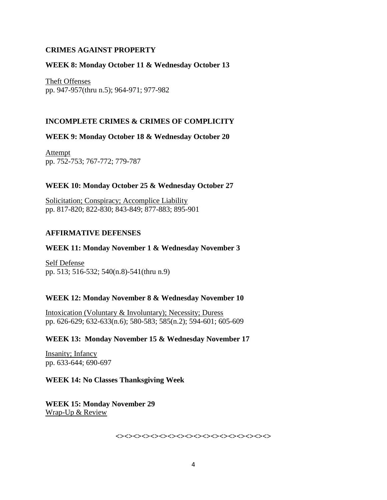#### **CRIMES AGAINST PROPERTY**

#### **WEEK 8: Monday October 11 & Wednesday October 13**

Theft Offenses pp. 947-957(thru n.5); 964-971; 977-982

### **INCOMPLETE CRIMES & CRIMES OF COMPLICITY**

#### **WEEK 9: Monday October 18 & Wednesday October 20**

Attempt pp. 752-753; 767-772; 779-787

#### **WEEK 10: Monday October 25 & Wednesday October 27**

Solicitation; Conspiracy; Accomplice Liability pp. 817-820; 822-830; 843-849; 877-883; 895-901

#### **AFFIRMATIVE DEFENSES**

#### **WEEK 11: Monday November 1 & Wednesday November 3**

Self Defense pp. 513; 516-532; 540(n.8)-541(thru n.9)

#### **WEEK 12: Monday November 8 & Wednesday November 10**

Intoxication (Voluntary & Involuntary); Necessity; Duress pp. 626-629; 632-633(n.6); 580-583; 585(n.2); 594-601; 605-609

#### **WEEK 13: Monday November 15 & Wednesday November 17**

Insanity; Infancy pp. 633-644; 690-697

#### **WEEK 14: No Classes Thanksgiving Week**

**WEEK 15: Monday November 29** Wrap-Up & Review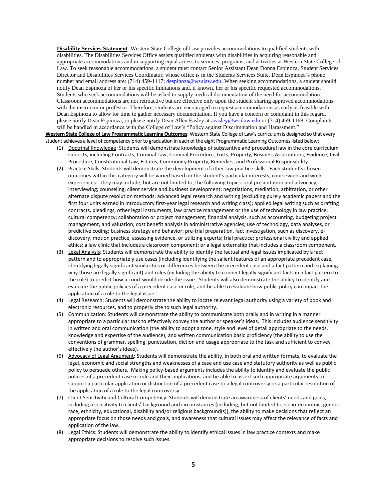**Disability Services Statement**: Western State College of Law provides accommodations to qualified students with disabilities. The Disabilities Services Office assists qualified students with disabilities in acquiring reasonable and appropriate accommodations and in supporting equal access to services, programs, and activities at Western State College of Law. To seek reasonable accommodations, a student must contact Senior Assistant Dean Donna Espinoza, Student Services Director and Disabilities Services Coordinator, whose office is in the Students Services Suite. Dean Espinoza's phone number and email address are: (714) 459-1117[; despinoza@wsulaw.edu.](mailto:despinoza@wsulaw.edu) When seeking accommodations, a student should notify Dean Espinoza of her or his specific limitations and, if known, her or his specific requested accommodations. Students who seek accommodations will be asked to supply medical documentation of the need for accommodation. Classroom accommodations are not retroactive but are effective only upon the student sharing approved accommodations with the instructor or professor. Therefore, students are encouraged to request accommodations as early as feasible with Dean Espinoza to allow for time to gather necessary documentation. If you have a concern or complaint in this regard, please notify Dean Espinoza; or please notify Dean Allen Easley at [aeasley@wsulaw.edu](mailto:aeasley@wsulaw.edu) or (714) 459-1168. Complaints will be handled in accordance with the College of Law's "Policy against Discrimination and Harassment."

**Western State College of Law Programmatic Learning Outcomes**: Western State College of Law's curriculum is designed so that every student achieves a level of competency prior to graduation in each of the eight Programmatic Learning Outcomes listed below:

- (1) Doctrinal Knowledge: Students will demonstrate knowledge of substantive and procedural law in the core curriculum subjects, including Contracts, Criminal Law, Criminal Procedure, Torts, Property, Business Associations, Evidence, Civil Procedure, Constitutional Law, Estates, Community Property, Remedies, and Professional Responsibility.
- (2) Practice Skills: Students will demonstrate the development of other law practice skills. Each student's chosen outcomes within this category will be varied based on the student's particular interests, coursework and work experiences. They may include, but are not limited to, the following topics: oral presentation and advocacy; interviewing; counseling; client service and business development; negotiations, mediation, arbitration, or other alternate dispute resolution methods; advanced legal research and writing (excluding purely academic papers and the first four units earned in introductory first-year legal research and writing class); applied legal writing such as drafting contracts, pleadings, other legal instruments; law practice management or the use of technology in law practice; cultural competency; collaboration or project management; financial analysis, such as accounting, budgeting project management, and valuation; cost benefit analysis in administrative agencies; use of technology, data analyses, or predictive coding; business strategy and behavior; pre-trial preparation, fact investigation, such as discovery, ediscovery, motion practice, assessing evidence, or utilizing experts; trial practice; professional civility and applied ethics; a law clinic that includes a classroom component; or a legal externship that includes a classroom component.
- (3) Legal Analysis: Students will demonstrate the ability to identify the factual and legal issues implicated by a fact pattern and to appropriately use cases (including identifying the salient features of an appropriate precedent case, identifying legally significant similarities or differences between the precedent case and a fact pattern and explaining why those are legally significant) and rules (including the ability to connect legally significant facts in a fact pattern to the rule) to predict how a court would decide the issue. Students will also demonstrate the ability to identify and evaluate the public policies of a precedent case or rule, and be able to evaluate how public policy can impact the application of a rule to the legal issue.
- (4) Legal Research: Students will demonstrate the ability to locate relevant legal authority using a variety of book and electronic resources, and to properly cite to such legal authority.
- (5) Communication: Students will demonstrate the ability to communicate both orally and in writing in a manner appropriate to a particular task to effectively convey the author or speaker's ideas. This includes audience sensitivity in written and oral communication (the ability to adopt a tone, style and level of detail appropriate to the needs, knowledge and expertise of the audience); and written communication basic proficiency (the ability to use the conventions of grammar, spelling, punctuation, diction and usage appropriate to the task and sufficient to convey effectively the author's ideas).
- (6) Advocacy of Legal Argument: Students will demonstrate the ability, in both oral and written formats, to evaluate the legal, economic and social strengths and weaknesses of a case and use case and statutory authority as well as public policy to persuade others. Making policy-based arguments includes the ability to identify and evaluate the public policies of a precedent case or rule and their implications, and be able to assert such appropriate arguments to support a particular application or distinction of a precedent case to a legal controversy or a particular resolution of the application of a rule to the legal controversy.
- (7) Client Sensitivity and Cultural Competency: Students will demonstrate an awareness of clients' needs and goals, including a sensitivity to clients' background and circumstances (including, but not limited to, socio-economic, gender, race, ethnicity, educational, disability and/or religious background(s)), the ability to make decisions that reflect an appropriate focus on those needs and goals, and awareness that cultural issues may affect the relevance of facts and application of the law.
- (8) Legal Ethics: Students will demonstrate the ability to identify ethical issues in law practice contexts and make appropriate decisions to resolve such issues.